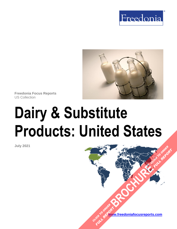



**Freedonia Focus Reports** US Collection

# **Dairy & Substitute Products: United States**

**July 2021**

**[www.freedoniafocusreports.com](https://www.freedoniafocusreports.com/redirect.asp?progid=89534&url=/)** CLICK TO ORDER **FULL REPORT** 

**[BROCHURE](https://www.freedoniafocusreports.com/Dairy-Substitute-Products-United-States-FF10013/?progid=89541) CLICK TO ORDER** 

**FULL REPORT**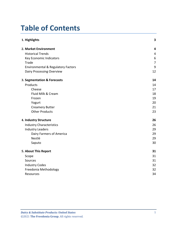# **Table of Contents**

| 1. Highlights                                 | 3              |
|-----------------------------------------------|----------------|
| 2. Market Environment                         | 4              |
| <b>Historical Trends</b>                      | $\overline{4}$ |
| Key Economic Indicators                       | $6\,$          |
| Trade                                         | $\overline{7}$ |
| <b>Environmental &amp; Regulatory Factors</b> | $9\,$          |
| Dairy Processing Overview                     | 12             |
| 3. Segmentation & Forecasts                   | 14             |
| Products                                      | 14             |
| Cheese                                        | 17             |
| Fluid Milk & Cream                            | 18             |
| Frozen                                        | 19             |
| Yogurt                                        | 20             |
| <b>Creamery Butter</b>                        | 21             |
| <b>Other Products</b>                         | 23             |
| 4. Industry Structure                         | 26             |
| <b>Industry Characteristics</b>               | 26             |
| <b>Industry Leaders</b>                       | 29             |
| Dairy Farmers of America                      | 29             |
| Nestlé                                        | 29             |
| Saputo                                        | 30             |
| 5. About This Report                          | 31             |
| Scope                                         | 31             |
| Sources                                       | 31             |
| <b>Industry Codes</b>                         | 32             |
| Freedonia Methodology                         | 32             |
| Resources                                     | 34             |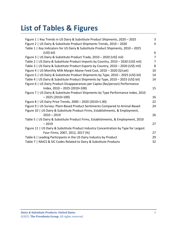# **List of Tables & Figures**

| Figure 1   Key Trends in US Dairy & Substitute Product Shipments, 2020 - 2025        | $\overline{3}$ |
|--------------------------------------------------------------------------------------|----------------|
| Figure 2   US Dairy & Substitute Product Shipments Trends, 2010 - 2020               | 4              |
| Table 1   Key Indicators for US Dairy & Substitute Product Shipments, 2010 - 2025    |                |
| (US\$ bil)                                                                           | 6              |
| Figure 3   US Dairy & Substitute Product Trade, 2010 - 2020 (US\$ mil)               | $\overline{7}$ |
| Table 2   US Dairy & Substitute Product Imports by Country, 2010 - 2020 (US\$ mil)   | $\overline{7}$ |
| Table 3   US Dairy & Substitute Product Exports by Country, 2010 - 2020 (US\$ mil)   | 8              |
| Figure 4   US Monthly Milk Margin Above Feed Cost, 2010 - 2020 (\$/cwt)              | 10             |
| Figure 5   US Dairy & Substitute Product Shipments by Type, 2010 - 2025 (US\$ bil)   | 14             |
| Table 4   US Dairy & Substitute Product Shipments by Type, 2010 - 2025 (US\$ bil)    | 14             |
| Figure 6   US Dairy Product Disappearances per Capita (Ibs/person) Performance       |                |
| Index, 2010 - 2025 (2010=100)                                                        | 15             |
| Figure 7   US Dairy & Substitute Product Shipments by Type Performance Index, 2010   |                |
| $-2025(2010=100)$                                                                    | 16             |
| Figure 8   US Dairy Price Trends, 2000 - 2020 (2010=1.00)                            | 22             |
| Figure 9   US Survey: Plant-Based Product Sentiments Compared to Animal-Based        | 24             |
| Figure 10   US Dairy & Substitute Product Firms, Establishments, & Employment,       |                |
| $2010 - 2019$                                                                        | 26             |
| Table 5   US Dairy & Substitute Product Firms, Establishments, & Employment, 2010    |                |
| $-2019$                                                                              | 27             |
| Figure 11   US Dairy & Substitute Product Industry Concentration by Type for Largest |                |
| Four Firms; 2007, 2012, 2017 (%)                                                     | 27             |
| Table 6   Leading Participants in the US Dairy Industry by Product                   | 29             |
| Table 7   NAICS & SIC Codes Related to Dairy & Substitute Products                   | 32             |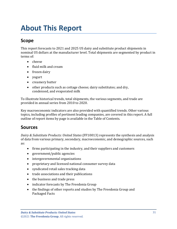# <span id="page-3-0"></span>**About This Report**

# <span id="page-3-1"></span>**Scope**

This report forecasts to 2021 and 2025 US dairy and substitute product shipments in nominal US dollars at the manufacturer level. Total shipments are segmented by product in terms of:

- cheese
- fluid milk and cream
- frozen dairy
- yogurt
- creamery butter
- other products such as cottage cheese; dairy substitutes; and dry, condensed, and evaporated milk

To illustrate historical trends, total shipments, the various segments, and trade are provided in annual series from 2010 to 2020.

Key macroeconomic indicators are also provided with quantified trends. Other various topics, including profiles of pertinent leading companies, are covered in this report. A full outline of report items by page is available in the Table of Contents.

## <span id="page-3-2"></span>**Sources**

*Dairy & Substitute Products: United States* (FF10013) represents the synthesis and analysis of data from various primary, secondary, macroeconomic, and demographic sources, such as:

- firms participating in the industry, and their suppliers and customers
- government/public agencies
- intergovernmental organizations
- proprietary and licensed national consumer survey data
- syndicated retail sales tracking data
- trade associations and their publications
- the business and trade press
- indicator forecasts by The Freedonia Group
- the findings of other reports and studies by The Freedonia Group and Packaged Facts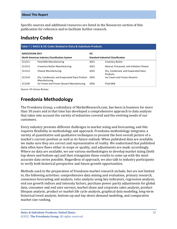Specific sources and additional resources are listed in the Resources section of this publication for reference and to facilitate further research.

## <span id="page-4-0"></span>**Industry Codes**

<span id="page-4-2"></span>

| Table 7   NAICS & SIC Codes Related to Dairy & Substitute Products |                                                                    |                                           |                                                  |  |  |
|--------------------------------------------------------------------|--------------------------------------------------------------------|-------------------------------------------|--------------------------------------------------|--|--|
| <b>NAICS/SCIAN 2017</b>                                            |                                                                    | <b>SIC</b>                                |                                                  |  |  |
| North American Industry Classification System                      |                                                                    | <b>Standard Industrial Classification</b> |                                                  |  |  |
| 311511                                                             | Fluid Milk Manufacturing                                           | 2021                                      | <b>Creamery Butter</b>                           |  |  |
| 311512                                                             | <b>Creamery Butter Manufacturing</b>                               | 2022                                      | Natural, Processed, and Imitation Cheese         |  |  |
| 311513                                                             | Cheese Manufacturing                                               | 2023                                      | Dry, Condensed, and Evaporated Dairy<br>Products |  |  |
| 311514                                                             | Dry, Condensed, and Evaporated Dairy Product 2024<br>Manufacturing |                                           | Ice Cream and Frozen Desserts                    |  |  |
| 311520                                                             | Ice Cream and Frozen Dessert Manufacturing                         | 2026                                      | <b>Fluid Milk</b>                                |  |  |

Source: US Census Bureau

# <span id="page-4-1"></span>**Freedonia Methodology**

The Freedonia Group, a subsidiary of MarketResearch.com, has been in business for more than 30 years and in that time has developed a comprehensive approach to data analysis that takes into account the variety of industries covered and the evolving needs of our customers.

Every industry presents different challenges in market sizing and forecasting, and this requires flexibility in methodology and approach. Freedonia methodology integrates a variety of quantitative and qualitative techniques to present the best overall picture of a market's current position as well as its future outlook: When published data are available, we make sure they are correct and representative of reality. We understand that published data often have flaws either in scope or quality, and adjustments are made accordingly. Where no data are available, we use various methodologies to develop market sizing (both top-down and bottom-up) and then triangulate those results to come up with the most accurate data series possible. Regardless of approach, we also talk to industry participants to verify both historical perspective and future growth opportunities.

Methods used in the preparation of Freedonia market research include, but are not limited to, the following activities: comprehensive data mining and evaluation, primary research, consensus forecasting and analysis, ratio analysis using key indicators, regression analysis, end use growth indices and intensity factors, purchase power parity adjustments for global data, consumer and end user surveys, market share and corporate sales analysis, product lifespan analysis, product or market life cycle analysis, graphical data modeling, long-term historical trend analysis, bottom-up and top-down demand modeling, and comparative market size ranking.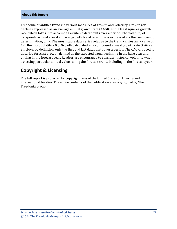#### **About This Report**

Freedonia quantifies trends in various measures of growth and volatility. Growth (or decline) expressed as an average annual growth rate (AAGR) is the least squares growth rate, which takes into account all available datapoints over a period. The volatility of datapoints around a least squares growth trend over time is expressed via the coefficient of determination, or  $r^2$ . The most stable data series relative to the trend carries an  $r^2$  value of 1.0; the most volatile – 0.0. Growth calculated as a compound annual growth rate (CAGR) employs, by definition, only the first and last datapoints over a period. The CAGR is used to describe forecast growth, defined as the expected trend beginning in the base year and ending in the forecast year. Readers are encouraged to consider historical volatility when assessing particular annual values along the forecast trend, including in the forecast year.

### **Copyright & Licensing**

The full report is protected by copyright laws of the United States of America and international treaties. The entire contents of the publication are copyrighted by The Freedonia Group.